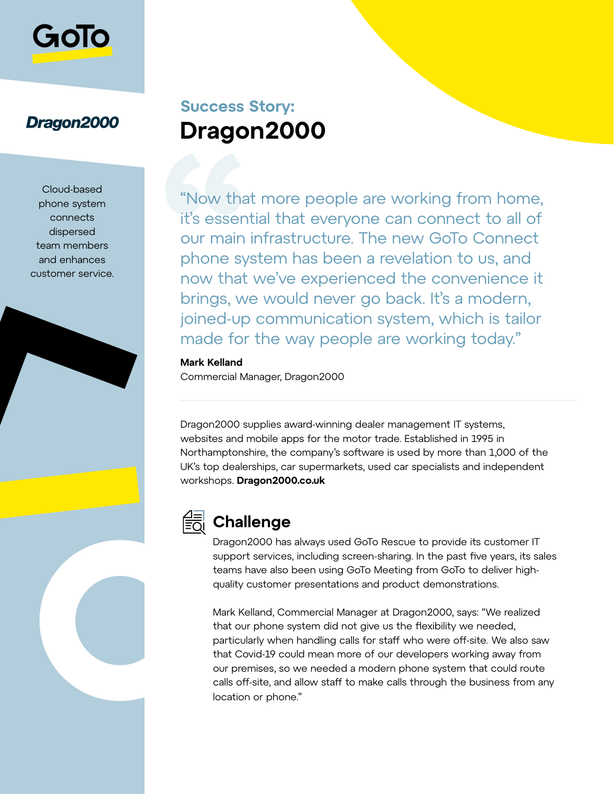

## Dragon2000

Cloud-based phone system connects dispersed team members and enhances customer service.

# **Success Story: Dragon2000**

"Now that more people are working from home, it's essential that everyone can connect to all of our main infrastructure. The new GoTo Connect phone system has been a revelation to us, and now that we've experienced the convenience it brings, we would never go back. It's a modern, joined-up communication system, which is tailor made for the way people are working today."

#### **Mark Kelland**

Commercial Manager, Dragon2000

Dragon2000 supplies award-winning dealer management IT systems, websites and mobile apps for the motor trade. Established in 1995 in Northamptonshire, the company's software is used by more than 1,000 of the UK's top dealerships, car supermarkets, used car specialists and independent workshops. **[Dragon2000.co.uk](http://Dragon2000.co.uk)**



## **Challenge**

Dragon2000 has always used GoTo Rescue to provide its customer IT support services, including screen-sharing. In the past five years, its sales teams have also been using GoTo Meeting from GoTo to deliver highquality customer presentations and product demonstrations.

Mark Kelland, Commercial Manager at Dragon2000, says: "We realized that our phone system did not give us the flexibility we needed, particularly when handling calls for staff who were off-site. We also saw that Covid-19 could mean more of our developers working away from our premises, so we needed a modern phone system that could route calls off-site, and allow staff to make calls through the business from any location or phone."